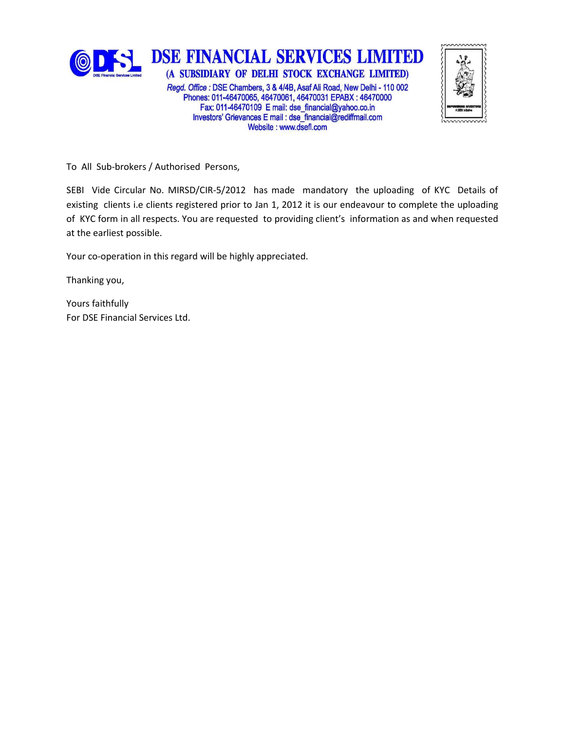

Website: www.dsefl.com

To All Sub-brokers / Authorised Persons,

SEBI Vide Circular No. MIRSD/CIR-5/2012 has made mandatory the uploading of KYC Details of existing clients i.e clients registered prior to Jan 1, 2012 it is our endeavour to complete the uploading of KYC form in all respects. You are requested to providing client's information as and when requested at the earliest possible.

Your co-operation in this regard will be highly appreciated.

Thanking you,

Yours faithfully For DSE Financial Services Ltd.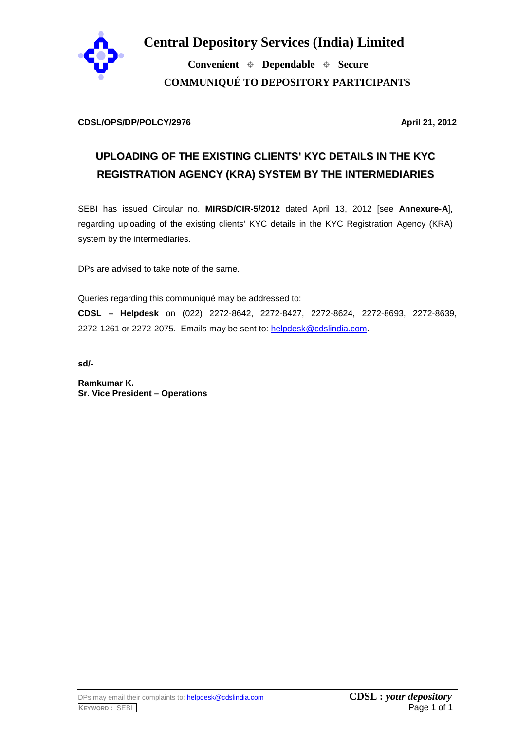

**Central Depository Services (India) Limited**

 **Convenient Dependable Secure COMMUNIQUÉ TO DEPOSITORY PARTICIPANTS**

#### **CDSL/OPS/DP/POLCY/2976 April 21, 2012**

# **UPLOADING OF THE EXISTING CLIENTS' KYC DETAILS IN THE KYC REGISTRATION AGENCY (KRA) SYSTEM BY THE INTERMEDIARIES**

SEBI has issued Circular no. **MIRSD/CIR-5/2012** dated April 13, 2012 [see **Annexure-A**], regarding uploading of the existing clients' KYC details in the KYC Registration Agency (KRA) system by the intermediaries.

DPs are advised to take note of the same.

Queries regarding this communiqué may be addressed to: **CDSL – Helpdesk** on (022) 2272-8642, 2272-8427, 2272-8624, 2272-8693, 2272-8639, 2272-1261 or 2272-2075. Emails may be sent to: [helpdesk@cdslindia.com.](mailto:helpdesk@cdslindia.com)

**sd/-**

**Ramkumar K. Sr. Vice President – Operations**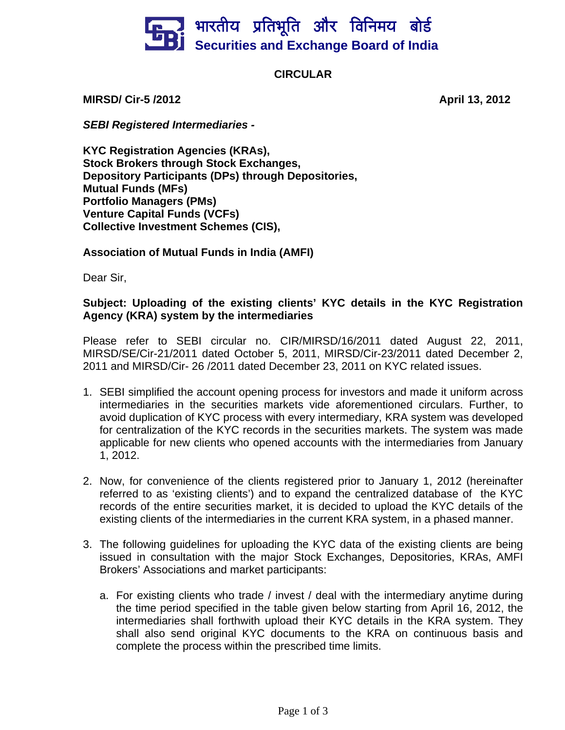

# **CIRCULAR**

**MIRSD/ Cir-5 /2012 April 13, 2012** 

*SEBI Registered Intermediaries -*

**KYC Registration Agencies (KRAs), Stock Brokers through Stock Exchanges, Depository Participants (DPs) through Depositories, Mutual Funds (MFs) Portfolio Managers (PMs) Venture Capital Funds (VCFs) Collective Investment Schemes (CIS),** 

### **Association of Mutual Funds in India (AMFI)**

Dear Sir,

## **Subject: Uploading of the existing clients' KYC details in the KYC Registration Agency (KRA) system by the intermediaries**

Please refer to SEBI circular no. CIR/MIRSD/16/2011 dated August 22, 2011, MIRSD/SE/Cir-21/2011 dated October 5, 2011, MIRSD/Cir-23/2011 dated December 2, 2011 and MIRSD/Cir- 26 /2011 dated December 23, 2011 on KYC related issues.

- 1. SEBI simplified the account opening process for investors and made it uniform across intermediaries in the securities markets vide aforementioned circulars. Further, to avoid duplication of KYC process with every intermediary, KRA system was developed for centralization of the KYC records in the securities markets. The system was made applicable for new clients who opened accounts with the intermediaries from January 1, 2012.
- 2. Now, for convenience of the clients registered prior to January 1, 2012 (hereinafter referred to as 'existing clients') and to expand the centralized database of the KYC records of the entire securities market, it is decided to upload the KYC details of the existing clients of the intermediaries in the current KRA system, in a phased manner.
- 3. The following guidelines for uploading the KYC data of the existing clients are being issued in consultation with the major Stock Exchanges, Depositories, KRAs, AMFI Brokers' Associations and market participants:
	- a. For existing clients who trade / invest / deal with the intermediary anytime during the time period specified in the table given below starting from April 16, 2012, the intermediaries shall forthwith upload their KYC details in the KRA system. They shall also send original KYC documents to the KRA on continuous basis and complete the process within the prescribed time limits.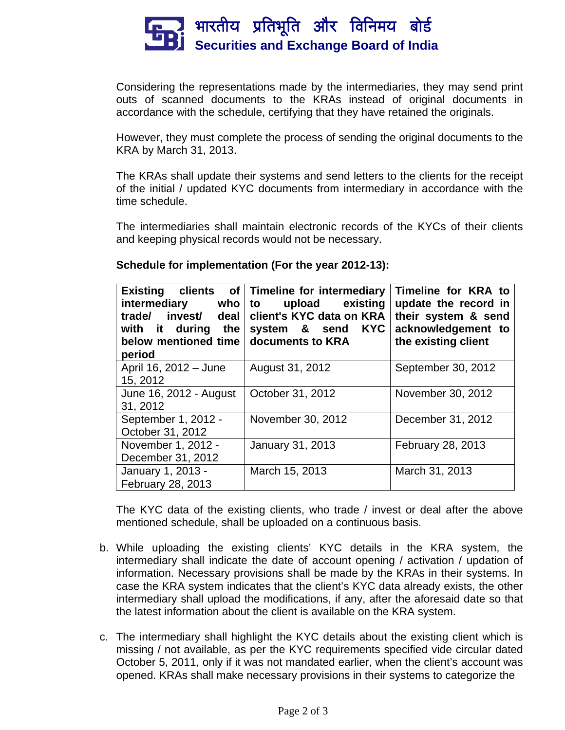

Considering the representations made by the intermediaries, they may send print outs of scanned documents to the KRAs instead of original documents in accordance with the schedule, certifying that they have retained the originals.

However, they must complete the process of sending the original documents to the KRA by March 31, 2013.

The KRAs shall update their systems and send letters to the clients for the receipt of the initial / updated KYC documents from intermediary in accordance with the time schedule.

The intermediaries shall maintain electronic records of the KYCs of their clients and keeping physical records would not be necessary.

| intermediary who<br>trade/ invest/ deal<br>with it during the<br>below mentioned time<br>period | Existing clients of Timeline for intermediary<br>upload existing<br>to<br>client's KYC data on KRA<br><b>KYC</b><br>system & send<br>documents to KRA | Timeline for KRA to<br>update the record in<br>their system & send<br>acknowledgement to<br>the existing client |
|-------------------------------------------------------------------------------------------------|-------------------------------------------------------------------------------------------------------------------------------------------------------|-----------------------------------------------------------------------------------------------------------------|
| April 16, 2012 - June<br>15, 2012                                                               | August 31, 2012                                                                                                                                       | September 30, 2012                                                                                              |
| June 16, 2012 - August<br>31, 2012                                                              | October 31, 2012                                                                                                                                      | November 30, 2012                                                                                               |
| September 1, 2012 -<br>October 31, 2012                                                         | November 30, 2012                                                                                                                                     | December 31, 2012                                                                                               |
| November 1, 2012 -<br>December 31, 2012                                                         | <b>January 31, 2013</b>                                                                                                                               | February 28, 2013                                                                                               |
| January 1, 2013 -<br>February 28, 2013                                                          | March 15, 2013                                                                                                                                        | March 31, 2013                                                                                                  |

The KYC data of the existing clients, who trade / invest or deal after the above mentioned schedule, shall be uploaded on a continuous basis.

- b. While uploading the existing clients' KYC details in the KRA system, the intermediary shall indicate the date of account opening / activation / updation of information. Necessary provisions shall be made by the KRAs in their systems. In case the KRA system indicates that the client's KYC data already exists, the other intermediary shall upload the modifications, if any, after the aforesaid date so that the latest information about the client is available on the KRA system.
- c. The intermediary shall highlight the KYC details about the existing client which is missing / not available, as per the KYC requirements specified vide circular dated October 5, 2011, only if it was not mandated earlier, when the client's account was opened. KRAs shall make necessary provisions in their systems to categorize the